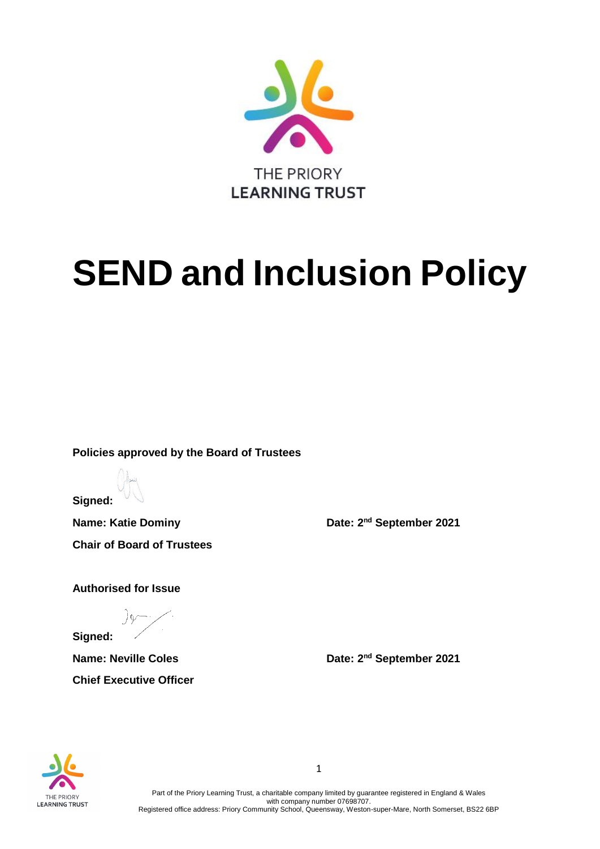

# **SEND and Inclusion Policy**

**Policies approved by the Board of Trustees**

**Signed:**

**Name: Katie Dominy Community Community Date: 2<sup>nd</sup> September 2021 Chair of Board of Trustees** 

**Authorised for Issue**

**Signed:** 

**Chief Executive Officer**

**Name: Neville Coles Date: 2<sup>nd</sup> September 2021** 



1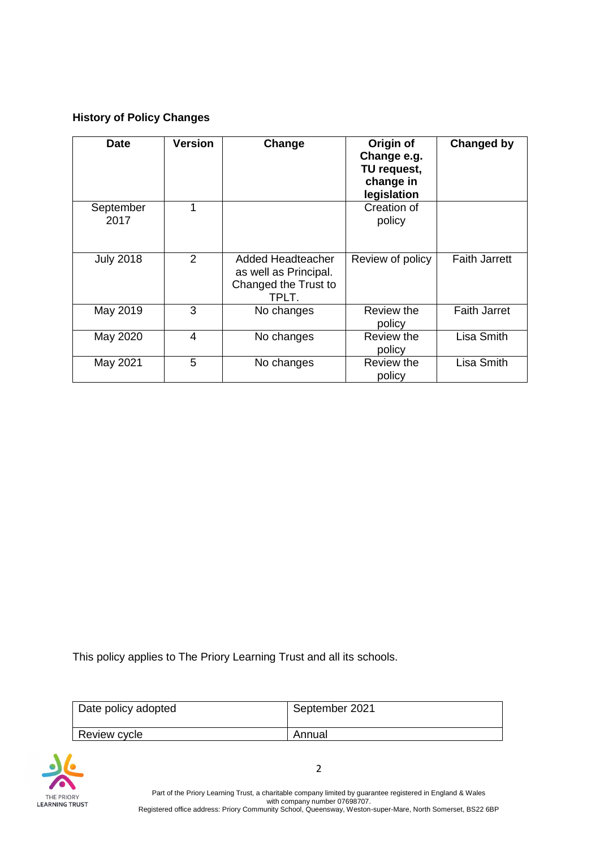### **History of Policy Changes**

| <b>Date</b>       | <b>Version</b> | Change                                                                      | Origin of<br>Change e.g.<br>TU request,<br>change in<br>legislation | Changed by           |
|-------------------|----------------|-----------------------------------------------------------------------------|---------------------------------------------------------------------|----------------------|
| September<br>2017 | 1              |                                                                             | Creation of<br>policy                                               |                      |
| <b>July 2018</b>  | 2              | Added Headteacher<br>as well as Principal.<br>Changed the Trust to<br>TPLT. | Review of policy                                                    | <b>Faith Jarrett</b> |
| May 2019          | 3              | No changes                                                                  | Review the<br>policy                                                | <b>Faith Jarret</b>  |
| May 2020          | 4              | No changes                                                                  | Review the<br>policy                                                | Lisa Smith           |
| May 2021          | 5              | No changes                                                                  | Review the<br>policy                                                | Lisa Smith           |

This policy applies to The Priory Learning Trust and all its schools.

| Date policy adopted | September 2021 |
|---------------------|----------------|
| Review cycle        | Annual         |



Part of the Priory Learning Trust, a charitable company limited by guarantee registered in England & Wales with company number 07698707. Registered office address: Priory Community School, Queensway, Weston-super-Mare, North Somerset, BS22 6BP

2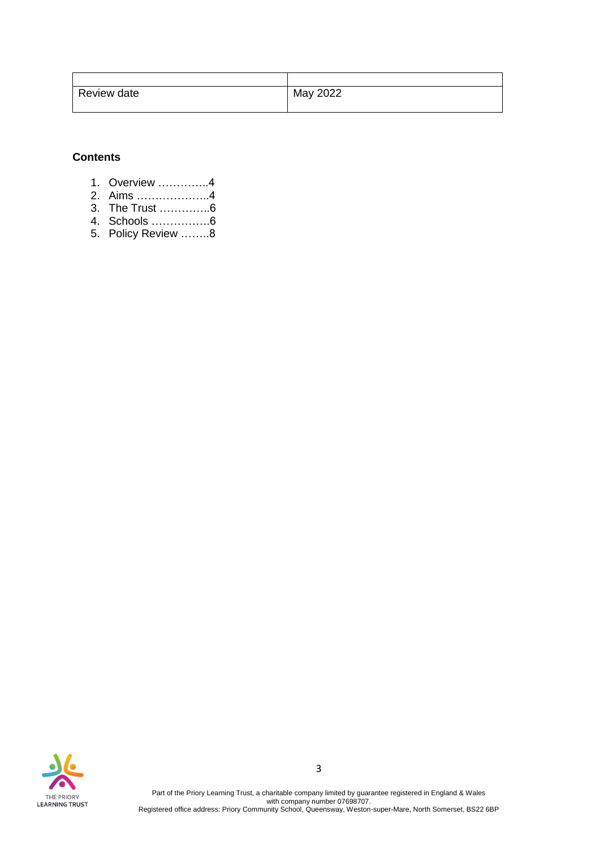| Review date | May 2022 |
|-------------|----------|
|             |          |

#### **Contents**

- 1. Overview …………..4
- 2. Aims ………………..4
- 3. The Trust …………..6
- 4. Schools …………….6 5. Policy Review ……..8



Part of the Priory Learning Trust, a charitable company limited by guarantee registered in England & Wales with company number 07698707. Registered office address: Priory Community School, Queensway, Weston-super-Mare, North Somerset, BS22 6BP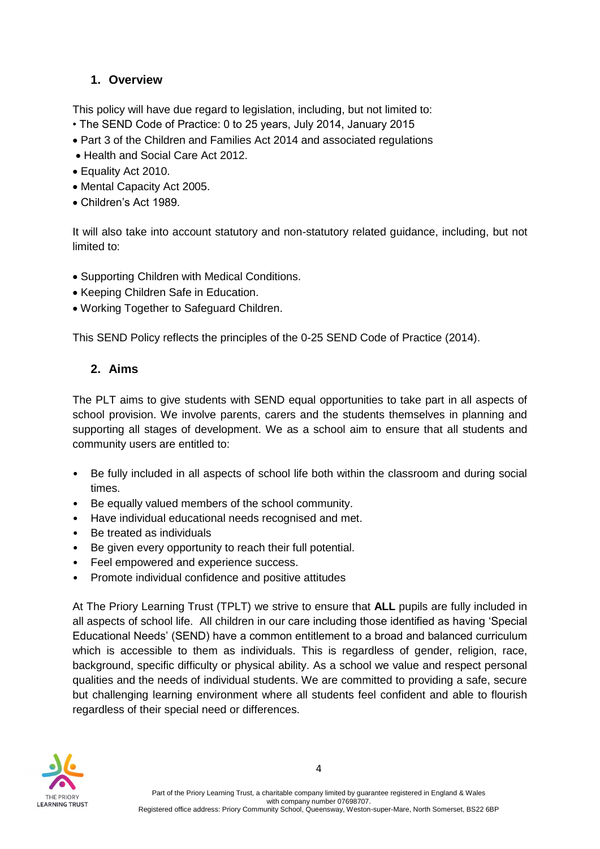## **1. Overview**

This policy will have due regard to legislation, including, but not limited to:

- The SEND Code of Practice: 0 to 25 years, July 2014, January 2015
- Part 3 of the Children and Families Act 2014 and associated regulations
- Health and Social Care Act 2012.
- Equality Act 2010.
- Mental Capacity Act 2005.
- Children's Act 1989.

It will also take into account statutory and non-statutory related guidance, including, but not limited to:

- Supporting Children with Medical Conditions.
- Keeping Children Safe in Education.
- Working Together to Safeguard Children.

This SEND Policy reflects the principles of the 0-25 SEND Code of Practice (2014).

## **2. Aims**

The PLT aims to give students with SEND equal opportunities to take part in all aspects of school provision. We involve parents, carers and the students themselves in planning and supporting all stages of development. We as a school aim to ensure that all students and community users are entitled to:

- Be fully included in all aspects of school life both within the classroom and during social times.
- Be equally valued members of the school community.
- Have individual educational needs recognised and met.
- Be treated as individuals
- Be given every opportunity to reach their full potential.
- Feel empowered and experience success.
- Promote individual confidence and positive attitudes

At The Priory Learning Trust (TPLT) we strive to ensure that **ALL** pupils are fully included in all aspects of school life. All children in our care including those identified as having 'Special Educational Needs' (SEND) have a common entitlement to a broad and balanced curriculum which is accessible to them as individuals. This is regardless of gender, religion, race, background, specific difficulty or physical ability. As a school we value and respect personal qualities and the needs of individual students. We are committed to providing a safe, secure but challenging learning environment where all students feel confident and able to flourish regardless of their special need or differences.

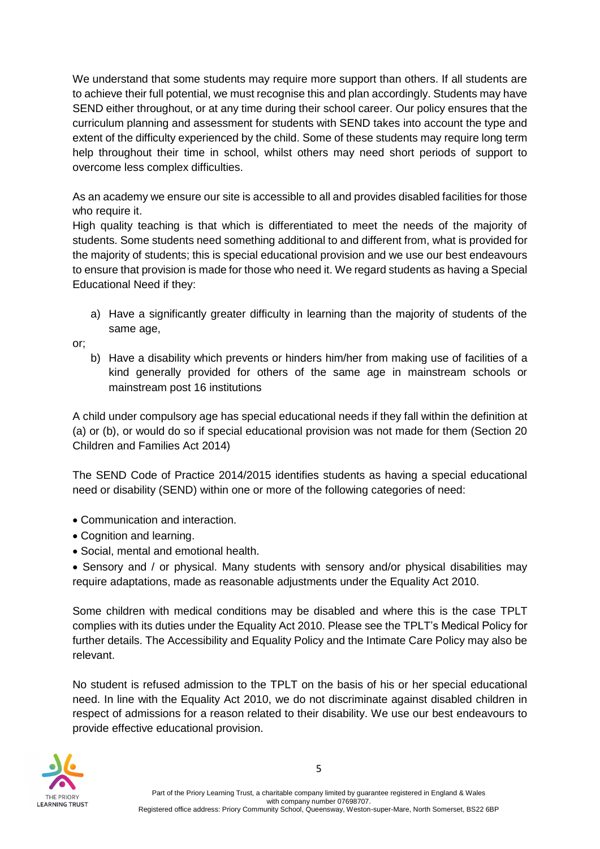We understand that some students may require more support than others. If all students are to achieve their full potential, we must recognise this and plan accordingly. Students may have SEND either throughout, or at any time during their school career. Our policy ensures that the curriculum planning and assessment for students with SEND takes into account the type and extent of the difficulty experienced by the child. Some of these students may require long term help throughout their time in school, whilst others may need short periods of support to overcome less complex difficulties.

As an academy we ensure our site is accessible to all and provides disabled facilities for those who require it.

High quality teaching is that which is differentiated to meet the needs of the majority of students. Some students need something additional to and different from, what is provided for the majority of students; this is special educational provision and we use our best endeavours to ensure that provision is made for those who need it. We regard students as having a Special Educational Need if they:

a) Have a significantly greater difficulty in learning than the majority of students of the same age,

or;

b) Have a disability which prevents or hinders him/her from making use of facilities of a kind generally provided for others of the same age in mainstream schools or mainstream post 16 institutions

A child under compulsory age has special educational needs if they fall within the definition at (a) or (b), or would do so if special educational provision was not made for them (Section 20 Children and Families Act 2014)

The SEND Code of Practice 2014/2015 identifies students as having a special educational need or disability (SEND) within one or more of the following categories of need:

- Communication and interaction.
- Cognition and learning.
- Social, mental and emotional health.

• Sensory and / or physical. Many students with sensory and/or physical disabilities may require adaptations, made as reasonable adjustments under the Equality Act 2010.

Some children with medical conditions may be disabled and where this is the case TPLT complies with its duties under the Equality Act 2010. Please see the TPLT's Medical Policy for further details. The Accessibility and Equality Policy and the Intimate Care Policy may also be relevant.

No student is refused admission to the TPLT on the basis of his or her special educational need. In line with the Equality Act 2010, we do not discriminate against disabled children in respect of admissions for a reason related to their disability. We use our best endeavours to provide effective educational provision.

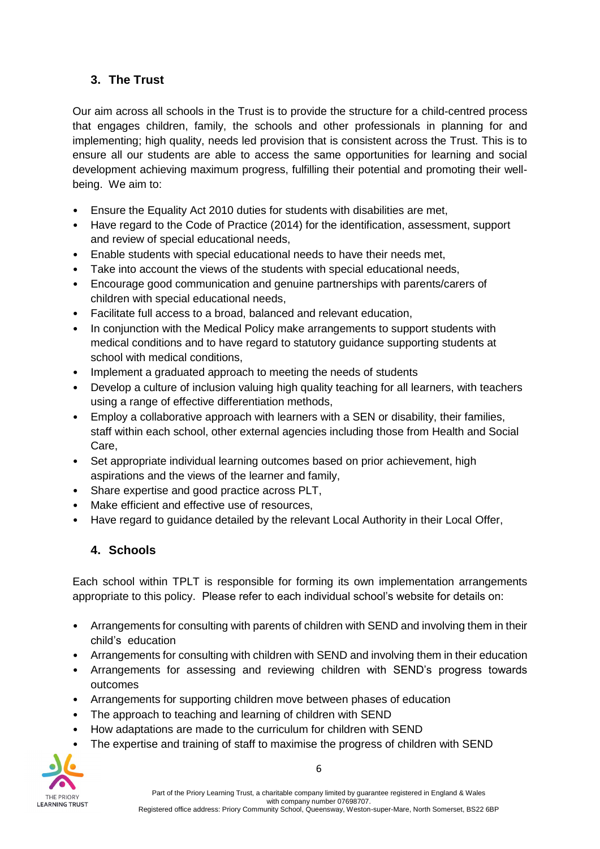## **3. The Trust**

Our aim across all schools in the Trust is to provide the structure for a child-centred process that engages children, family, the schools and other professionals in planning for and implementing; high quality, needs led provision that is consistent across the Trust. This is to ensure all our students are able to access the same opportunities for learning and social development achieving maximum progress, fulfilling their potential and promoting their wellbeing. We aim to:

- Ensure the Equality Act 2010 duties for students with disabilities are met,
- Have regard to the Code of Practice (2014) for the identification, assessment, support and review of special educational needs,
- Enable students with special educational needs to have their needs met,
- Take into account the views of the students with special educational needs,
- Encourage good communication and genuine partnerships with parents/carers of children with special educational needs,
- Facilitate full access to a broad, balanced and relevant education,
- In conjunction with the Medical Policy make arrangements to support students with medical conditions and to have regard to statutory guidance supporting students at school with medical conditions,
- Implement a graduated approach to meeting the needs of students
- Develop a culture of inclusion valuing high quality teaching for all learners, with teachers using a range of effective differentiation methods,
- Employ a collaborative approach with learners with a SEN or disability, their families, staff within each school, other external agencies including those from Health and Social Care,
- Set appropriate individual learning outcomes based on prior achievement, high aspirations and the views of the learner and family,
- Share expertise and good practice across PLT,
- Make efficient and effective use of resources,
- Have regard to guidance detailed by the relevant Local Authority in their Local Offer,

### **4. Schools**

Each school within TPLT is responsible for forming its own implementation arrangements appropriate to this policy. Please refer to each individual school's website for details on:

- Arrangements for consulting with parents of children with SEND and involving them in their child's education
- Arrangements for consulting with children with SEND and involving them in their education
- Arrangements for assessing and reviewing children with SEND's progress towards outcomes
- Arrangements for supporting children move between phases of education
- The approach to teaching and learning of children with SEND
- How adaptations are made to the curriculum for children with SEND
- The expertise and training of staff to maximise the progress of children with SEND

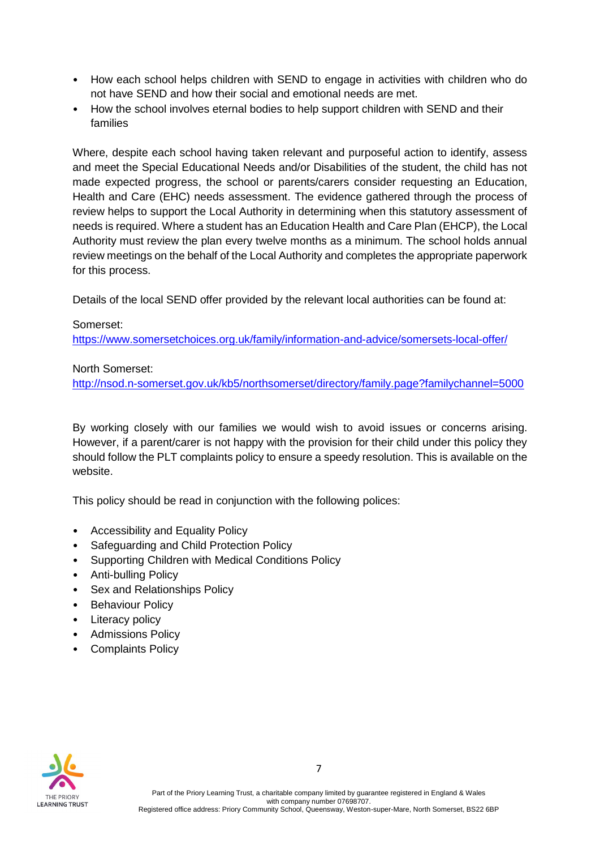- How each school helps children with SEND to engage in activities with children who do not have SEND and how their social and emotional needs are met.
- How the school involves eternal bodies to help support children with SEND and their families

Where, despite each school having taken relevant and purposeful action to identify, assess and meet the Special Educational Needs and/or Disabilities of the student, the child has not made expected progress, the school or parents/carers consider requesting an Education, Health and Care (EHC) needs assessment. The evidence gathered through the process of review helps to support the Local Authority in determining when this statutory assessment of needs is required. Where a student has an Education Health and Care Plan (EHCP), the Local Authority must review the plan every twelve months as a minimum. The school holds annual review meetings on the behalf of the Local Authority and completes the appropriate paperwork for this process.

Details of the local SEND offer provided by the relevant local authorities can be found at:

#### Somerset:

<https://www.somersetchoices.org.uk/family/information-and-advice/somersets-local-offer/>

North Somerset:

<http://nsod.n-somerset.gov.uk/kb5/northsomerset/directory/family.page?familychannel=5000>

By working closely with our families we would wish to avoid issues or concerns arising. However, if a parent/carer is not happy with the provision for their child under this policy they should follow the PLT complaints policy to ensure a speedy resolution. This is available on the website.

This policy should be read in conjunction with the following polices:

- Accessibility and Equality Policy
- Safeguarding and Child Protection Policy
- Supporting Children with Medical Conditions Policy
- Anti-bulling Policy
- Sex and Relationships Policy
- Behaviour Policy
- Literacy policy
- Admissions Policy
- Complaints Policy